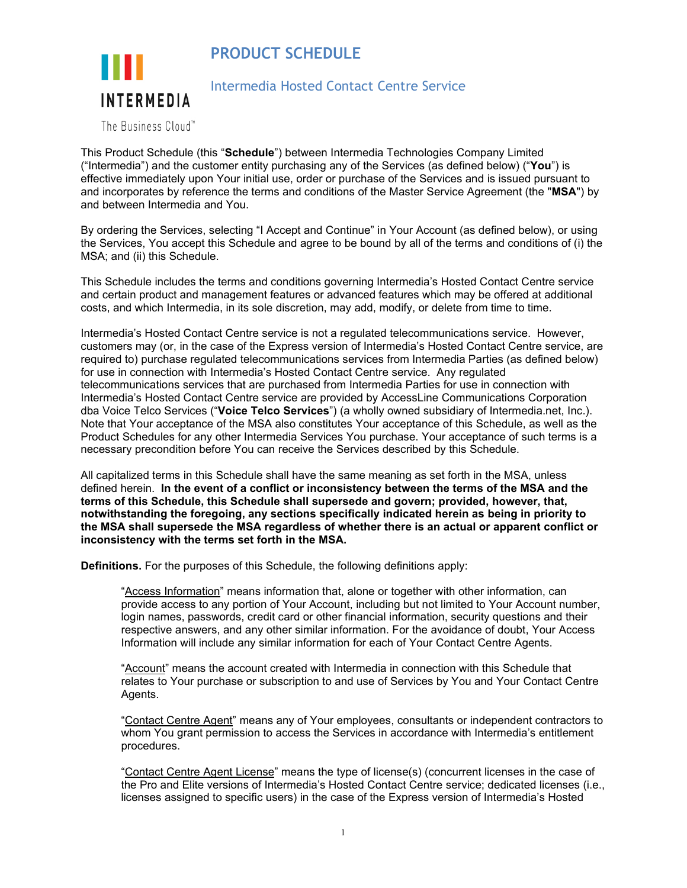**PRODUCT SCHEDULE**



# Intermedia Hosted Contact Centre Service

The Business Cloud™

This Product Schedule (this "**Schedule**") between Intermedia Technologies Company Limited ("Intermedia") and the customer entity purchasing any of the Services (as defined below) ("**You**") is effective immediately upon Your initial use, order or purchase of the Services and is issued pursuant to and incorporates by reference the terms and conditions of the Master Service Agreement (the "**MSA**") by and between Intermedia and You.

By ordering the Services, selecting "I Accept and Continue" in Your Account (as defined below), or using the Services, You accept this Schedule and agree to be bound by all of the terms and conditions of (i) the MSA; and (ii) this Schedule.

This Schedule includes the terms and conditions governing Intermedia's Hosted Contact Centre service and certain product and management features or advanced features which may be offered at additional costs, and which Intermedia, in its sole discretion, may add, modify, or delete from time to time.

Intermedia's Hosted Contact Centre service is not a regulated telecommunications service. However, customers may (or, in the case of the Express version of Intermedia's Hosted Contact Centre service, are required to) purchase regulated telecommunications services from Intermedia Parties (as defined below) for use in connection with Intermedia's Hosted Contact Centre service. Any regulated telecommunications services that are purchased from Intermedia Parties for use in connection with Intermedia's Hosted Contact Centre service are provided by AccessLine Communications Corporation dba Voice Telco Services ("**Voice Telco Services**") (a wholly owned subsidiary of Intermedia.net, Inc.). Note that Your acceptance of the MSA also constitutes Your acceptance of this Schedule, as well as the Product Schedules for any other Intermedia Services You purchase. Your acceptance of such terms is a necessary precondition before You can receive the Services described by this Schedule.

All capitalized terms in this Schedule shall have the same meaning as set forth in the MSA, unless defined herein. **In the event of a conflict or inconsistency between the terms of the MSA and the terms of this Schedule, this Schedule shall supersede and govern; provided, however, that, notwithstanding the foregoing, any sections specifically indicated herein as being in priority to the MSA shall supersede the MSA regardless of whether there is an actual or apparent conflict or inconsistency with the terms set forth in the MSA.**

**Definitions.** For the purposes of this Schedule, the following definitions apply:

"Access Information" means information that, alone or together with other information, can provide access to any portion of Your Account, including but not limited to Your Account number, login names, passwords, credit card or other financial information, security questions and their respective answers, and any other similar information. For the avoidance of doubt, Your Access Information will include any similar information for each of Your Contact Centre Agents.

"Account" means the account created with Intermedia in connection with this Schedule that relates to Your purchase or subscription to and use of Services by You and Your Contact Centre Agents.

"Contact Centre Agent" means any of Your employees, consultants or independent contractors to whom You grant permission to access the Services in accordance with Intermedia's entitlement procedures.

"Contact Centre Agent License" means the type of license(s) (concurrent licenses in the case of the Pro and Elite versions of Intermedia's Hosted Contact Centre service; dedicated licenses (i.e., licenses assigned to specific users) in the case of the Express version of Intermedia's Hosted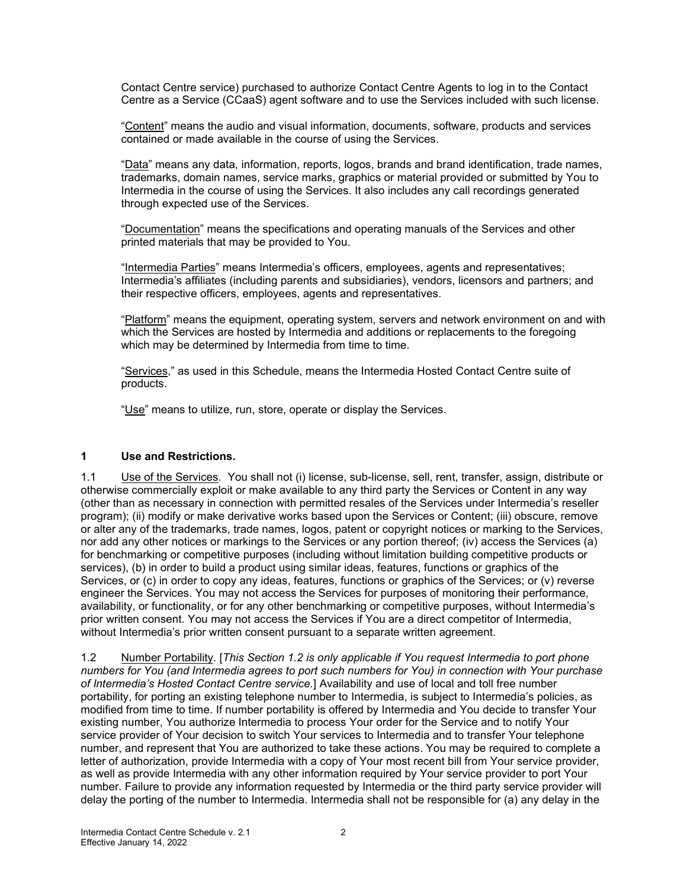Contact Centre service) purchased to authorize Contact Centre Agents to log in to the Contact Centre as a Service (CCaaS) agent software and to use the Services included with such license.

"Content" means the audio and visual information, documents, software, products and services contained or made available in the course of using the Services.

"Data" means any data, information, reports, logos, brands and brand identification, trade names, trademarks, domain names, service marks, graphics or material provided or submitted by You to Intermedia in the course of using the Services. It also includes any call recordings generated through expected use of the Services.

"Documentation" means the specifications and operating manuals of the Services and other printed materials that may be provided to You.

"Intermedia Parties" means Intermedia's officers, employees, agents and representatives; Intermedia's affiliates (including parents and subsidiaries), vendors, licensors and partners; and their respective officers, employees, agents and representatives.

"Platform" means the equipment, operating system, servers and network environment on and with which the Services are hosted by Intermedia and additions or replacements to the foregoing which may be determined by Intermedia from time to time.

"Services," as used in this Schedule, means the Intermedia Hosted Contact Centre suite of products.

"Use" means to utilize, run, store, operate or display the Services.

#### **1 Use and Restrictions.**

1.1 Use of the Services. You shall not (i) license, sub-license, sell, rent, transfer, assign, distribute or otherwise commercially exploit or make available to any third party the Services or Content in any way (other than as necessary in connection with permitted resales of the Services under Intermedia's reseller program); (ii) modify or make derivative works based upon the Services or Content; (iii) obscure, remove or alter any of the trademarks, trade names, logos, patent or copyright notices or marking to the Services, nor add any other notices or markings to the Services or any portion thereof; (iv) access the Services (a) for benchmarking or competitive purposes (including without limitation building competitive products or services), (b) in order to build a product using similar ideas, features, functions or graphics of the Services, or (c) in order to copy any ideas, features, functions or graphics of the Services; or (v) reverse engineer the Services. You may not access the Services for purposes of monitoring their performance, availability, or functionality, or for any other benchmarking or competitive purposes, without Intermedia's prior written consent. You may not access the Services if You are a direct competitor of Intermedia, without Intermedia's prior written consent pursuant to a separate written agreement.

1.2 Number Portability. [*This Section 1.2 is only applicable if You request Intermedia to port phone numbers for You (and Intermedia agrees to port such numbers for You) in connection with Your purchase of Intermedia's Hosted Contact Centre service.*] Availability and use of local and toll free number portability, for porting an existing telephone number to Intermedia, is subject to Intermedia's policies, as modified from time to time. If number portability is offered by Intermedia and You decide to transfer Your existing number, You authorize Intermedia to process Your order for the Service and to notify Your service provider of Your decision to switch Your services to Intermedia and to transfer Your telephone number, and represent that You are authorized to take these actions. You may be required to complete a letter of authorization, provide Intermedia with a copy of Your most recent bill from Your service provider, as well as provide Intermedia with any other information required by Your service provider to port Your number. Failure to provide any information requested by Intermedia or the third party service provider will delay the porting of the number to Intermedia. Intermedia shall not be responsible for (a) any delay in the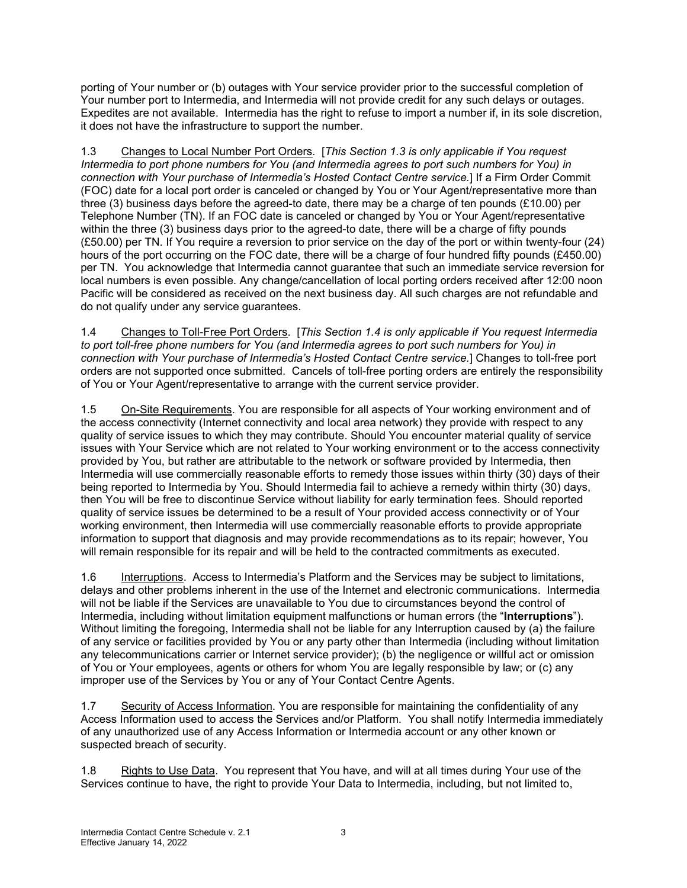porting of Your number or (b) outages with Your service provider prior to the successful completion of Your number port to Intermedia, and Intermedia will not provide credit for any such delays or outages. Expedites are not available. Intermedia has the right to refuse to import a number if, in its sole discretion, it does not have the infrastructure to support the number.

1.3 Changes to Local Number Port Orders*.* [*This Section 1.3 is only applicable if You request Intermedia to port phone numbers for You (and Intermedia agrees to port such numbers for You) in connection with Your purchase of Intermedia's Hosted Contact Centre service.*] If a Firm Order Commit (FOC) date for a local port order is canceled or changed by You or Your Agent/representative more than three (3) business days before the agreed-to date, there may be a charge of ten pounds (£10.00) per Telephone Number (TN). If an FOC date is canceled or changed by You or Your Agent/representative within the three (3) business days prior to the agreed-to date, there will be a charge of fifty pounds (£50.00) per TN. If You require a reversion to prior service on the day of the port or within twenty-four (24) hours of the port occurring on the FOC date, there will be a charge of four hundred fifty pounds (£450.00) per TN. You acknowledge that Intermedia cannot guarantee that such an immediate service reversion for local numbers is even possible. Any change/cancellation of local porting orders received after 12:00 noon Pacific will be considered as received on the next business day. All such charges are not refundable and do not qualify under any service guarantees.

1.4 Changes to Toll-Free Port Orders. [*This Section 1.4 is only applicable if You request Intermedia to port toll-free phone numbers for You (and Intermedia agrees to port such numbers for You) in connection with Your purchase of Intermedia's Hosted Contact Centre service.*] Changes to toll-free port orders are not supported once submitted. Cancels of toll-free porting orders are entirely the responsibility of You or Your Agent/representative to arrange with the current service provider.

1.5 On-Site Requirements. You are responsible for all aspects of Your working environment and of the access connectivity (Internet connectivity and local area network) they provide with respect to any quality of service issues to which they may contribute. Should You encounter material quality of service issues with Your Service which are not related to Your working environment or to the access connectivity provided by You, but rather are attributable to the network or software provided by Intermedia, then Intermedia will use commercially reasonable efforts to remedy those issues within thirty (30) days of their being reported to Intermedia by You. Should Intermedia fail to achieve a remedy within thirty (30) days, then You will be free to discontinue Service without liability for early termination fees. Should reported quality of service issues be determined to be a result of Your provided access connectivity or of Your working environment, then Intermedia will use commercially reasonable efforts to provide appropriate information to support that diagnosis and may provide recommendations as to its repair; however, You will remain responsible for its repair and will be held to the contracted commitments as executed.

1.6 Interruptions. Access to Intermedia's Platform and the Services may be subject to limitations, delays and other problems inherent in the use of the Internet and electronic communications. Intermedia will not be liable if the Services are unavailable to You due to circumstances beyond the control of Intermedia, including without limitation equipment malfunctions or human errors (the "**Interruptions**"). Without limiting the foregoing, Intermedia shall not be liable for any Interruption caused by (a) the failure of any service or facilities provided by You or any party other than Intermedia (including without limitation any telecommunications carrier or Internet service provider); (b) the negligence or willful act or omission of You or Your employees, agents or others for whom You are legally responsible by law; or (c) any improper use of the Services by You or any of Your Contact Centre Agents.

1.7 Security of Access Information. You are responsible for maintaining the confidentiality of any Access Information used to access the Services and/or Platform. You shall notify Intermedia immediately of any unauthorized use of any Access Information or Intermedia account or any other known or suspected breach of security.

1.8 Rights to Use Data. You represent that You have, and will at all times during Your use of the Services continue to have, the right to provide Your Data to Intermedia, including, but not limited to,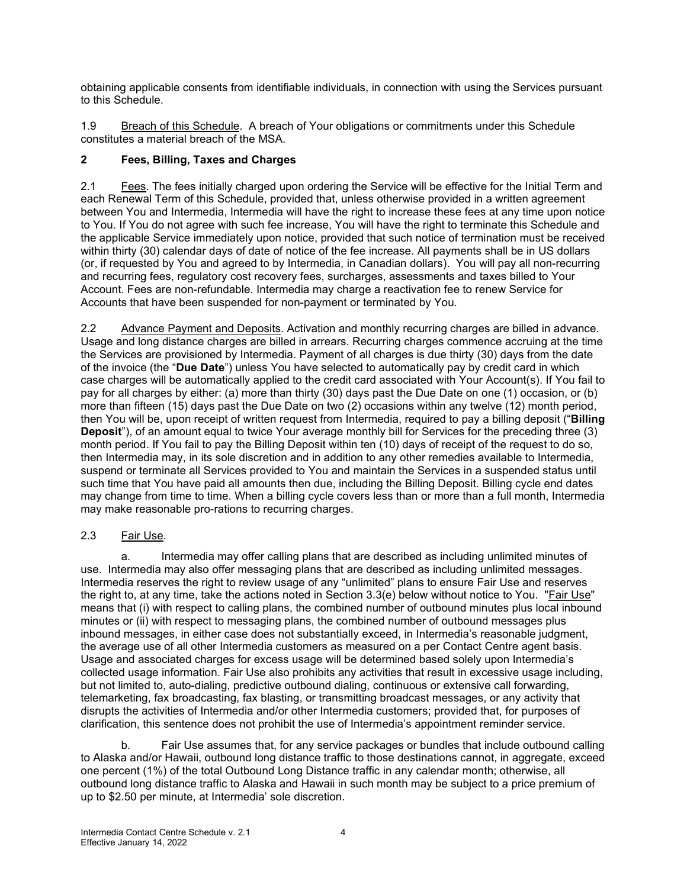obtaining applicable consents from identifiable individuals, in connection with using the Services pursuant to this Schedule.

1.9 Breach of this Schedule. A breach of Your obligations or commitments under this Schedule constitutes a material breach of the MSA.

# **2 Fees, Billing, Taxes and Charges**

2.1 Fees. The fees initially charged upon ordering the Service will be effective for the Initial Term and each Renewal Term of this Schedule, provided that, unless otherwise provided in a written agreement between You and Intermedia, Intermedia will have the right to increase these fees at any time upon notice to You. If You do not agree with such fee increase, You will have the right to terminate this Schedule and the applicable Service immediately upon notice, provided that such notice of termination must be received within thirty (30) calendar days of date of notice of the fee increase. All payments shall be in US dollars (or, if requested by You and agreed to by Intermedia, in Canadian dollars). You will pay all non-recurring and recurring fees, regulatory cost recovery fees, surcharges, assessments and taxes billed to Your Account. Fees are non-refundable. Intermedia may charge a reactivation fee to renew Service for Accounts that have been suspended for non-payment or terminated by You.

2.2 Advance Payment and Deposits. Activation and monthly recurring charges are billed in advance. Usage and long distance charges are billed in arrears. Recurring charges commence accruing at the time the Services are provisioned by Intermedia. Payment of all charges is due thirty (30) days from the date of the invoice (the "**Due Date**") unless You have selected to automatically pay by credit card in which case charges will be automatically applied to the credit card associated with Your Account(s). If You fail to pay for all charges by either: (a) more than thirty (30) days past the Due Date on one (1) occasion, or (b) more than fifteen (15) days past the Due Date on two (2) occasions within any twelve (12) month period, then You will be, upon receipt of written request from Intermedia, required to pay a billing deposit ("**Billing Deposit**"), of an amount equal to twice Your average monthly bill for Services for the preceding three (3) month period. If You fail to pay the Billing Deposit within ten (10) days of receipt of the request to do so, then Intermedia may, in its sole discretion and in addition to any other remedies available to Intermedia, suspend or terminate all Services provided to You and maintain the Services in a suspended status until such time that You have paid all amounts then due, including the Billing Deposit. Billing cycle end dates may change from time to time. When a billing cycle covers less than or more than a full month, Intermedia may make reasonable pro-rations to recurring charges.

#### 2.3 Fair Use*.*

a. Intermedia may offer calling plans that are described as including unlimited minutes of use. Intermedia may also offer messaging plans that are described as including unlimited messages. Intermedia reserves the right to review usage of any "unlimited" plans to ensure Fair Use and reserves the right to, at any time, take the actions noted in Section 3.3(e) below without notice to You. "Fair Use" means that (i) with respect to calling plans, the combined number of outbound minutes plus local inbound minutes or (ii) with respect to messaging plans, the combined number of outbound messages plus inbound messages, in either case does not substantially exceed, in Intermedia's reasonable judgment, the average use of all other Intermedia customers as measured on a per Contact Centre agent basis. Usage and associated charges for excess usage will be determined based solely upon Intermedia's collected usage information. Fair Use also prohibits any activities that result in excessive usage including, but not limited to, auto-dialing, predictive outbound dialing, continuous or extensive call forwarding, telemarketing, fax broadcasting, fax blasting, or transmitting broadcast messages, or any activity that disrupts the activities of Intermedia and/or other Intermedia customers; provided that, for purposes of clarification, this sentence does not prohibit the use of Intermedia's appointment reminder service.

b. Fair Use assumes that, for any service packages or bundles that include outbound calling to Alaska and/or Hawaii, outbound long distance traffic to those destinations cannot, in aggregate, exceed one percent (1%) of the total Outbound Long Distance traffic in any calendar month; otherwise, all outbound long distance traffic to Alaska and Hawaii in such month may be subject to a price premium of up to \$2.50 per minute, at Intermedia' sole discretion.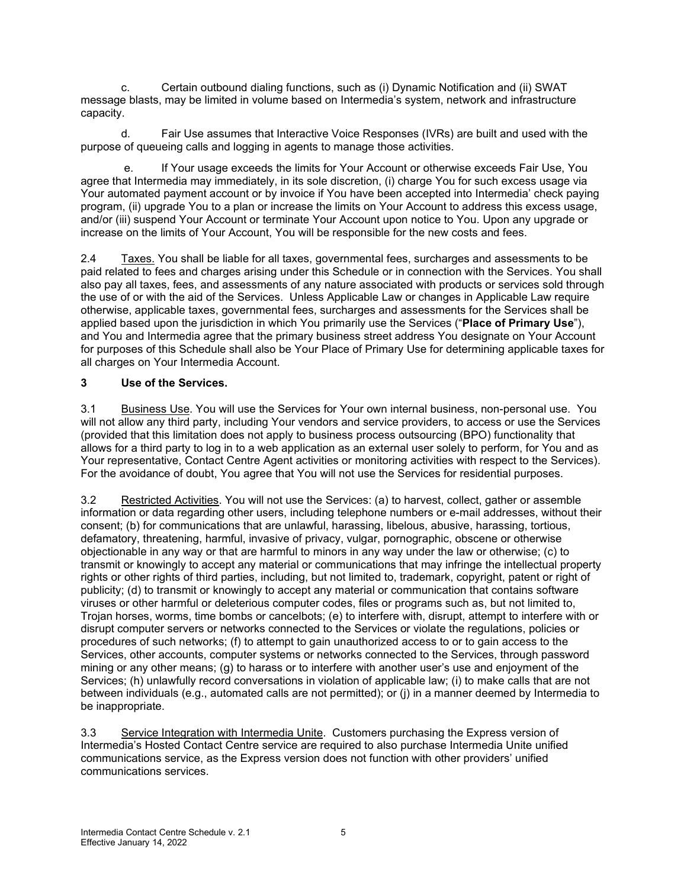c. Certain outbound dialing functions, such as (i) Dynamic Notification and (ii) SWAT message blasts, may be limited in volume based on Intermedia's system, network and infrastructure capacity.

d. Fair Use assumes that Interactive Voice Responses (IVRs) are built and used with the purpose of queueing calls and logging in agents to manage those activities.

e. If Your usage exceeds the limits for Your Account or otherwise exceeds Fair Use, You agree that Intermedia may immediately, in its sole discretion, (i) charge You for such excess usage via Your automated payment account or by invoice if You have been accepted into Intermedia' check paying program, (ii) upgrade You to a plan or increase the limits on Your Account to address this excess usage, and/or (iii) suspend Your Account or terminate Your Account upon notice to You. Upon any upgrade or increase on the limits of Your Account, You will be responsible for the new costs and fees.

2.4 Taxes. You shall be liable for all taxes, governmental fees, surcharges and assessments to be paid related to fees and charges arising under this Schedule or in connection with the Services. You shall also pay all taxes, fees, and assessments of any nature associated with products or services sold through the use of or with the aid of the Services. Unless Applicable Law or changes in Applicable Law require otherwise, applicable taxes, governmental fees, surcharges and assessments for the Services shall be applied based upon the jurisdiction in which You primarily use the Services ("**Place of Primary Use**"), and You and Intermedia agree that the primary business street address You designate on Your Account for purposes of this Schedule shall also be Your Place of Primary Use for determining applicable taxes for all charges on Your Intermedia Account.

## **3 Use of the Services.**

3.1 Business Use. You will use the Services for Your own internal business, non-personal use. You will not allow any third party, including Your vendors and service providers, to access or use the Services (provided that this limitation does not apply to business process outsourcing (BPO) functionality that allows for a third party to log in to a web application as an external user solely to perform, for You and as Your representative, Contact Centre Agent activities or monitoring activities with respect to the Services). For the avoidance of doubt, You agree that You will not use the Services for residential purposes.

3.2 Restricted Activities. You will not use the Services: (a) to harvest, collect, gather or assemble information or data regarding other users, including telephone numbers or e-mail addresses, without their consent; (b) for communications that are unlawful, harassing, libelous, abusive, harassing, tortious, defamatory, threatening, harmful, invasive of privacy, vulgar, pornographic, obscene or otherwise objectionable in any way or that are harmful to minors in any way under the law or otherwise; (c) to transmit or knowingly to accept any material or communications that may infringe the intellectual property rights or other rights of third parties, including, but not limited to, trademark, copyright, patent or right of publicity; (d) to transmit or knowingly to accept any material or communication that contains software viruses or other harmful or deleterious computer codes, files or programs such as, but not limited to, Trojan horses, worms, time bombs or cancelbots; (e) to interfere with, disrupt, attempt to interfere with or disrupt computer servers or networks connected to the Services or violate the regulations, policies or procedures of such networks; (f) to attempt to gain unauthorized access to or to gain access to the Services, other accounts, computer systems or networks connected to the Services, through password mining or any other means; (g) to harass or to interfere with another user's use and enjoyment of the Services; (h) unlawfully record conversations in violation of applicable law; (i) to make calls that are not between individuals (e.g., automated calls are not permitted); or (j) in a manner deemed by Intermedia to be inappropriate.

3.3 Service Integration with Intermedia Unite. Customers purchasing the Express version of Intermedia's Hosted Contact Centre service are required to also purchase Intermedia Unite unified communications service, as the Express version does not function with other providers' unified communications services.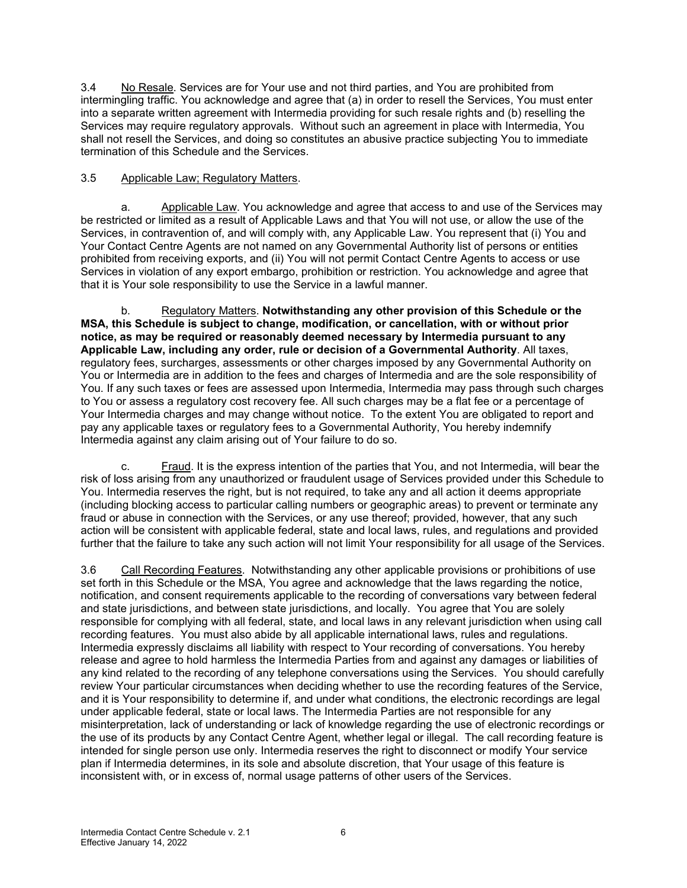3.4 No Resale. Services are for Your use and not third parties, and You are prohibited from intermingling traffic. You acknowledge and agree that (a) in order to resell the Services, You must enter into a separate written agreement with Intermedia providing for such resale rights and (b) reselling the Services may require regulatory approvals. Without such an agreement in place with Intermedia, You shall not resell the Services, and doing so constitutes an abusive practice subjecting You to immediate termination of this Schedule and the Services.

# 3.5 Applicable Law; Regulatory Matters.

a. Applicable Law. You acknowledge and agree that access to and use of the Services may be restricted or limited as a result of Applicable Laws and that You will not use, or allow the use of the Services, in contravention of, and will comply with, any Applicable Law. You represent that (i) You and Your Contact Centre Agents are not named on any Governmental Authority list of persons or entities prohibited from receiving exports, and (ii) You will not permit Contact Centre Agents to access or use Services in violation of any export embargo, prohibition or restriction. You acknowledge and agree that that it is Your sole responsibility to use the Service in a lawful manner.

b. Regulatory Matters. **Notwithstanding any other provision of this Schedule or the MSA, this Schedule is subject to change, modification, or cancellation, with or without prior notice, as may be required or reasonably deemed necessary by Intermedia pursuant to any Applicable Law, including any order, rule or decision of a Governmental Authority**. All taxes, regulatory fees, surcharges, assessments or other charges imposed by any Governmental Authority on You or Intermedia are in addition to the fees and charges of Intermedia and are the sole responsibility of You. If any such taxes or fees are assessed upon Intermedia, Intermedia may pass through such charges to You or assess a regulatory cost recovery fee. All such charges may be a flat fee or a percentage of Your Intermedia charges and may change without notice. To the extent You are obligated to report and pay any applicable taxes or regulatory fees to a Governmental Authority, You hereby indemnify Intermedia against any claim arising out of Your failure to do so.

c. Fraud. It is the express intention of the parties that You, and not Intermedia, will bear the risk of loss arising from any unauthorized or fraudulent usage of Services provided under this Schedule to You. Intermedia reserves the right, but is not required, to take any and all action it deems appropriate (including blocking access to particular calling numbers or geographic areas) to prevent or terminate any fraud or abuse in connection with the Services, or any use thereof; provided, however, that any such action will be consistent with applicable federal, state and local laws, rules, and regulations and provided further that the failure to take any such action will not limit Your responsibility for all usage of the Services.

3.6 Call Recording Features. Notwithstanding any other applicable provisions or prohibitions of use set forth in this Schedule or the MSA, You agree and acknowledge that the laws regarding the notice, notification, and consent requirements applicable to the recording of conversations vary between federal and state jurisdictions, and between state jurisdictions, and locally. You agree that You are solely responsible for complying with all federal, state, and local laws in any relevant jurisdiction when using call recording features. You must also abide by all applicable international laws, rules and regulations. Intermedia expressly disclaims all liability with respect to Your recording of conversations. You hereby release and agree to hold harmless the Intermedia Parties from and against any damages or liabilities of any kind related to the recording of any telephone conversations using the Services. You should carefully review Your particular circumstances when deciding whether to use the recording features of the Service, and it is Your responsibility to determine if, and under what conditions, the electronic recordings are legal under applicable federal, state or local laws. The Intermedia Parties are not responsible for any misinterpretation, lack of understanding or lack of knowledge regarding the use of electronic recordings or the use of its products by any Contact Centre Agent, whether legal or illegal. The call recording feature is intended for single person use only. Intermedia reserves the right to disconnect or modify Your service plan if Intermedia determines, in its sole and absolute discretion, that Your usage of this feature is inconsistent with, or in excess of, normal usage patterns of other users of the Services.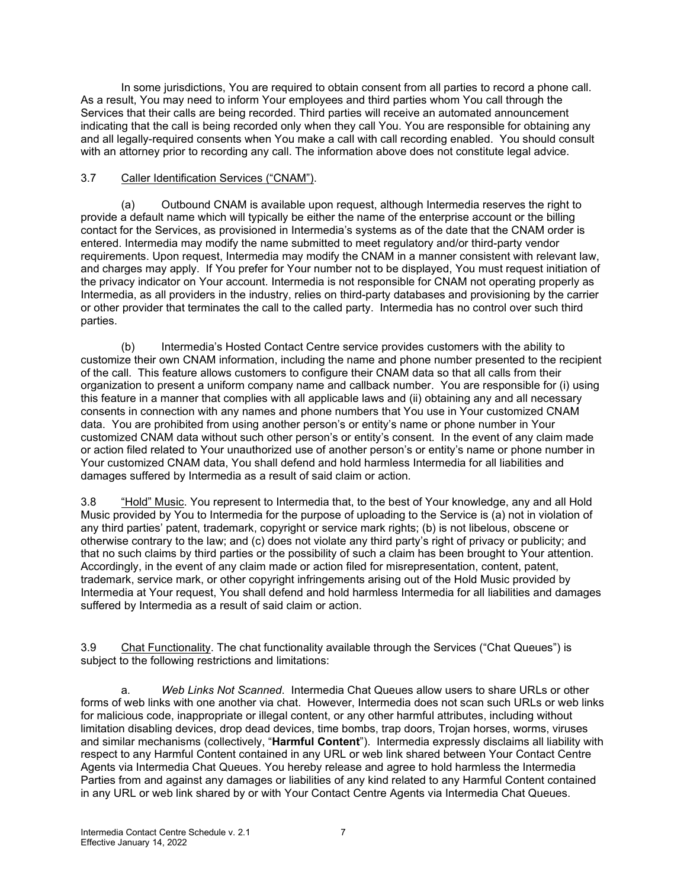In some jurisdictions, You are required to obtain consent from all parties to record a phone call. As a result, You may need to inform Your employees and third parties whom You call through the Services that their calls are being recorded. Third parties will receive an automated announcement indicating that the call is being recorded only when they call You. You are responsible for obtaining any and all legally-required consents when You make a call with call recording enabled. You should consult with an attorney prior to recording any call. The information above does not constitute legal advice.

## 3.7 Caller Identification Services ("CNAM").

(a) Outbound CNAM is available upon request, although Intermedia reserves the right to provide a default name which will typically be either the name of the enterprise account or the billing contact for the Services, as provisioned in Intermedia's systems as of the date that the CNAM order is entered. Intermedia may modify the name submitted to meet regulatory and/or third-party vendor requirements. Upon request, Intermedia may modify the CNAM in a manner consistent with relevant law, and charges may apply. If You prefer for Your number not to be displayed, You must request initiation of the privacy indicator on Your account. Intermedia is not responsible for CNAM not operating properly as Intermedia, as all providers in the industry, relies on third-party databases and provisioning by the carrier or other provider that terminates the call to the called party. Intermedia has no control over such third parties.

(b) Intermedia's Hosted Contact Centre service provides customers with the ability to customize their own CNAM information, including the name and phone number presented to the recipient of the call. This feature allows customers to configure their CNAM data so that all calls from their organization to present a uniform company name and callback number. You are responsible for (i) using this feature in a manner that complies with all applicable laws and (ii) obtaining any and all necessary consents in connection with any names and phone numbers that You use in Your customized CNAM data. You are prohibited from using another person's or entity's name or phone number in Your customized CNAM data without such other person's or entity's consent. In the event of any claim made or action filed related to Your unauthorized use of another person's or entity's name or phone number in Your customized CNAM data, You shall defend and hold harmless Intermedia for all liabilities and damages suffered by Intermedia as a result of said claim or action.

3.8 "Hold" Music. You represent to Intermedia that, to the best of Your knowledge, any and all Hold Music provided by You to Intermedia for the purpose of uploading to the Service is (a) not in violation of any third parties' patent, trademark, copyright or service mark rights; (b) is not libelous, obscene or otherwise contrary to the law; and (c) does not violate any third party's right of privacy or publicity; and that no such claims by third parties or the possibility of such a claim has been brought to Your attention. Accordingly, in the event of any claim made or action filed for misrepresentation, content, patent, trademark, service mark, or other copyright infringements arising out of the Hold Music provided by Intermedia at Your request, You shall defend and hold harmless Intermedia for all liabilities and damages suffered by Intermedia as a result of said claim or action.

3.9 Chat Functionality. The chat functionality available through the Services ("Chat Queues") is subject to the following restrictions and limitations:

a. *Web Links Not Scanned*. Intermedia Chat Queues allow users to share URLs or other forms of web links with one another via chat. However, Intermedia does not scan such URLs or web links for malicious code, inappropriate or illegal content, or any other harmful attributes, including without limitation disabling devices, drop dead devices, time bombs, trap doors, Trojan horses, worms, viruses and similar mechanisms (collectively, "**Harmful Content**"). Intermedia expressly disclaims all liability with respect to any Harmful Content contained in any URL or web link shared between Your Contact Centre Agents via Intermedia Chat Queues. You hereby release and agree to hold harmless the Intermedia Parties from and against any damages or liabilities of any kind related to any Harmful Content contained in any URL or web link shared by or with Your Contact Centre Agents via Intermedia Chat Queues.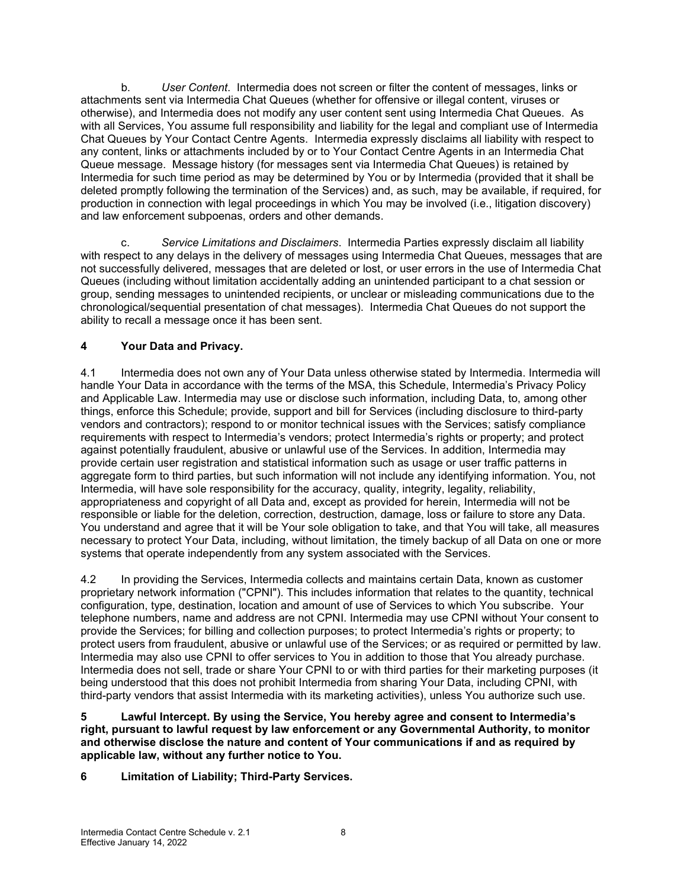b. *User Content*. Intermedia does not screen or filter the content of messages, links or attachments sent via Intermedia Chat Queues (whether for offensive or illegal content, viruses or otherwise), and Intermedia does not modify any user content sent using Intermedia Chat Queues. As with all Services, You assume full responsibility and liability for the legal and compliant use of Intermedia Chat Queues by Your Contact Centre Agents. Intermedia expressly disclaims all liability with respect to any content, links or attachments included by or to Your Contact Centre Agents in an Intermedia Chat Queue message. Message history (for messages sent via Intermedia Chat Queues) is retained by Intermedia for such time period as may be determined by You or by Intermedia (provided that it shall be deleted promptly following the termination of the Services) and, as such, may be available, if required, for production in connection with legal proceedings in which You may be involved (i.e., litigation discovery) and law enforcement subpoenas, orders and other demands.

c. *Service Limitations and Disclaimers*. Intermedia Parties expressly disclaim all liability with respect to any delays in the delivery of messages using Intermedia Chat Queues, messages that are not successfully delivered, messages that are deleted or lost, or user errors in the use of Intermedia Chat Queues (including without limitation accidentally adding an unintended participant to a chat session or group, sending messages to unintended recipients, or unclear or misleading communications due to the chronological/sequential presentation of chat messages). Intermedia Chat Queues do not support the ability to recall a message once it has been sent.

## **4 Your Data and Privacy.**

4.1 Intermedia does not own any of Your Data unless otherwise stated by Intermedia. Intermedia will handle Your Data in accordance with the terms of the MSA, this Schedule, Intermedia's Privacy Policy and Applicable Law. Intermedia may use or disclose such information, including Data, to, among other things, enforce this Schedule; provide, support and bill for Services (including disclosure to third-party vendors and contractors); respond to or monitor technical issues with the Services; satisfy compliance requirements with respect to Intermedia's vendors; protect Intermedia's rights or property; and protect against potentially fraudulent, abusive or unlawful use of the Services. In addition, Intermedia may provide certain user registration and statistical information such as usage or user traffic patterns in aggregate form to third parties, but such information will not include any identifying information. You, not Intermedia, will have sole responsibility for the accuracy, quality, integrity, legality, reliability, appropriateness and copyright of all Data and, except as provided for herein, Intermedia will not be responsible or liable for the deletion, correction, destruction, damage, loss or failure to store any Data. You understand and agree that it will be Your sole obligation to take, and that You will take, all measures necessary to protect Your Data, including, without limitation, the timely backup of all Data on one or more systems that operate independently from any system associated with the Services.

4.2 In providing the Services, Intermedia collects and maintains certain Data, known as customer proprietary network information ("CPNI"). This includes information that relates to the quantity, technical configuration, type, destination, location and amount of use of Services to which You subscribe. Your telephone numbers, name and address are not CPNI. Intermedia may use CPNI without Your consent to provide the Services; for billing and collection purposes; to protect Intermedia's rights or property; to protect users from fraudulent, abusive or unlawful use of the Services; or as required or permitted by law. Intermedia may also use CPNI to offer services to You in addition to those that You already purchase. Intermedia does not sell, trade or share Your CPNI to or with third parties for their marketing purposes (it being understood that this does not prohibit Intermedia from sharing Your Data, including CPNI, with third-party vendors that assist Intermedia with its marketing activities), unless You authorize such use.

**5 Lawful Intercept. By using the Service, You hereby agree and consent to Intermedia's right, pursuant to lawful request by law enforcement or any Governmental Authority, to monitor and otherwise disclose the nature and content of Your communications if and as required by applicable law, without any further notice to You.**

**6 Limitation of Liability; Third-Party Services.**